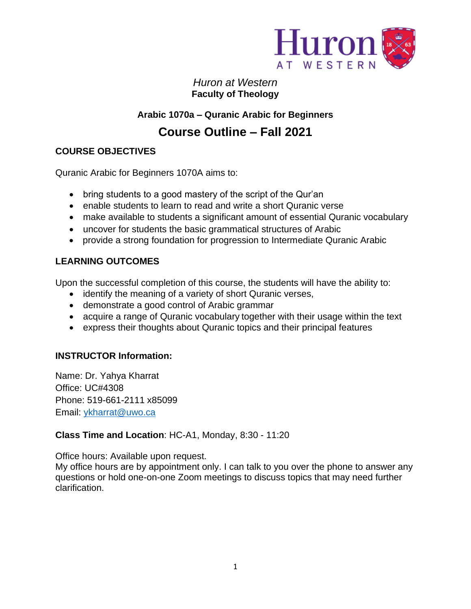

*Huron at Western*  **Faculty of Theology**

# **Arabic 1070a – Quranic Arabic for Beginners**

# **Course Outline – Fall 2021**

# **COURSE OBJECTIVES**

Quranic Arabic for Beginners 1070A aims to:

- bring students to a good mastery of the script of the Qur'an
- enable students to learn to read and write a short Quranic verse
- make available to students a significant amount of essential Quranic vocabulary
- uncover for students the basic grammatical structures of Arabic
- provide a strong foundation for progression to Intermediate Quranic Arabic

# **LEARNING OUTCOMES**

Upon the successful completion of this course, the students will have the ability to:

- identify the meaning of a variety of short Quranic verses,
- demonstrate a good control of Arabic grammar
- acquire a range of Quranic vocabulary together with their usage within the text
- express their thoughts about Quranic topics and their principal features

## **INSTRUCTOR Information:**

Name: Dr. Yahya Kharrat Office: UC#4308 Phone: 519-661-2111 x85099 Email: [ykharrat@uwo.ca](mailto:ykharrat@uwo.ca)

## **Class Time and Location**: HC-A1, Monday, 8:30 - 11:20

Office hours: Available upon request.

My office hours are by appointment only. I can talk to you over the phone to answer any questions or hold one-on-one Zoom meetings to discuss topics that may need further clarification.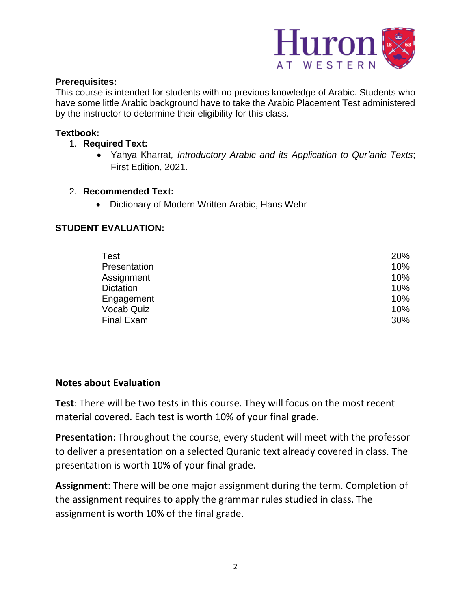

#### **Prerequisites:**

This course is intended for students with no previous knowledge of Arabic. Students who have some little Arabic background have to take the Arabic Placement Test administered by the instructor to determine their eligibility for this class.

#### **Textbook:**

- 1. **Required Text:**
	- Yahya Kharrat*, Introductory Arabic and its Application to Qur'anic Texts*; First Edition, 2021.
- 2. **Recommended Text:**
	- Dictionary of Modern Written Arabic, Hans Wehr

## **STUDENT EVALUATION:**

| Test             | 20% |
|------------------|-----|
| Presentation     | 10% |
| Assignment       | 10% |
| <b>Dictation</b> | 10% |
| Engagement       | 10% |
| Vocab Quiz       | 10% |
| Final Exam       | 30% |

## **Notes about Evaluation**

**Test**: There will be two tests in this course. They will focus on the most recent material covered. Each test is worth 10% of your final grade.

**Presentation**: Throughout the course, every student will meet with the professor to deliver a presentation on a selected Quranic text already covered in class. The presentation is worth 10% of your final grade.

**Assignment**: There will be one major assignment during the term. Completion of the assignment requires to apply the grammar rules studied in class. The assignment is worth 10% of the final grade.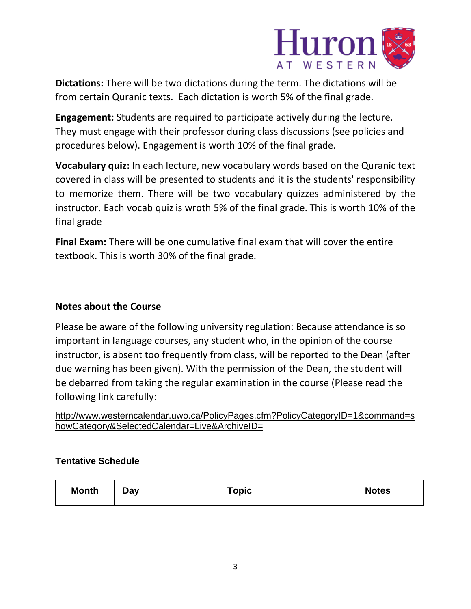

**Dictations:** There will be two dictations during the term. The dictations will be from certain Quranic texts. Each dictation is worth 5% of the final grade.

**Engagement:** Students are required to participate actively during the lecture. They must engage with their professor during class discussions (see policies and procedures below). Engagement is worth 10% of the final grade.

**Vocabulary quiz:** In each lecture, new vocabulary words based on the Quranic text covered in class will be presented to students and it is the students' responsibility to memorize them. There will be two vocabulary quizzes administered by the instructor. Each vocab quiz is wroth 5% of the final grade. This is worth 10% of the final grade

**Final Exam:** There will be one cumulative final exam that will cover the entire textbook. This is worth 30% of the final grade.

# **Notes about the Course**

Please be aware of the following university regulation: Because attendance is so important in language courses, any student who, in the opinion of the course instructor, is absent too frequently from class, will be reported to the Dean (after due warning has been given). With the permission of the Dean, the student will be debarred from taking the regular examination in the course (Please read the following link carefully:

[http://www.westerncalendar.uwo.ca/PolicyPages.cfm?PolicyCategoryID=1&command=s](http://www.westerncalendar.uwo.ca/PolicyPages.cfm?PolicyCategoryID=1&command=showCategory&SelectedCalendar=Live&ArchiveID=) [howCategory&SelectedCalendar=Live&ArchiveID=](http://www.westerncalendar.uwo.ca/PolicyPages.cfm?PolicyCategoryID=1&command=showCategory&SelectedCalendar=Live&ArchiveID=)

## **Tentative Schedule**

| <b>Month</b><br><b>Notes</b><br>Topic<br>Day |  |  |  |  |
|----------------------------------------------|--|--|--|--|
|----------------------------------------------|--|--|--|--|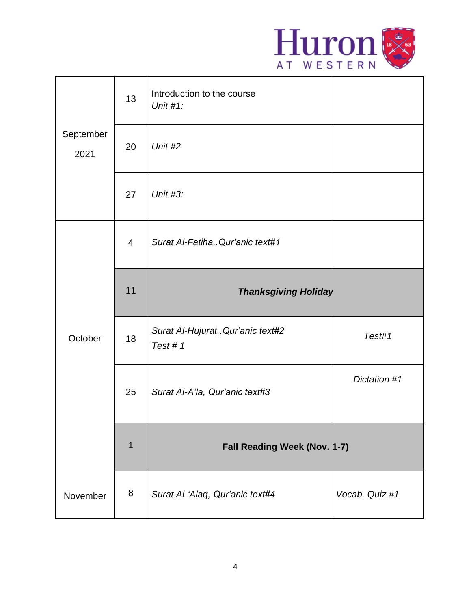

|                   | 13             | Introduction to the course<br>Unit $#1$ :    |                |
|-------------------|----------------|----------------------------------------------|----------------|
| September<br>2021 | 20             | Unit #2                                      |                |
|                   | 27             | Unit #3:                                     |                |
|                   | $\overline{4}$ | Surat Al-Fatiha, Qur'anic text#1             |                |
|                   | 11             | <b>Thanksgiving Holiday</b>                  |                |
| October           | 18             | Surat Al-Hujurat, Qur'anic text#2<br>Test #1 | Test#1         |
|                   | 25             | Surat Al-A'la, Qur'anic text#3               | Dictation #1   |
|                   | $\mathbf 1$    | Fall Reading Week (Nov. 1-7)                 |                |
| November          | 8              | Surat Al-'Alaq, Qur'anic text#4              | Vocab. Quiz #1 |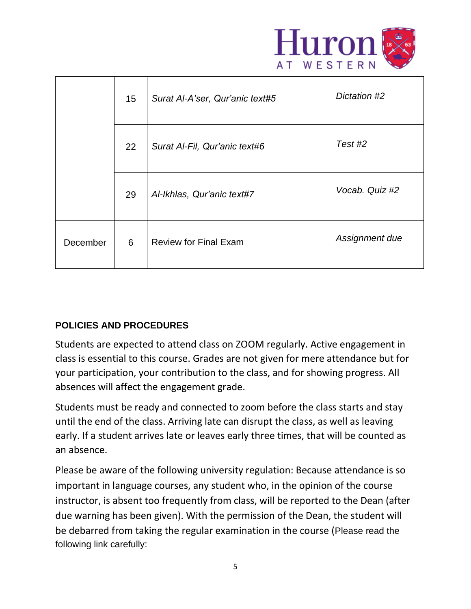

|          | 15 | Surat Al-A'ser, Qur'anic text#5 | Dictation #2   |
|----------|----|---------------------------------|----------------|
|          | 22 | Surat Al-Fil, Qur'anic text#6   | Test #2        |
|          | 29 | Al-Ikhlas, Qur'anic text#7      | Vocab. Quiz #2 |
| December | 6  | <b>Review for Final Exam</b>    | Assignment due |

# **POLICIES AND PROCEDURES**

Students are expected to attend class on ZOOM regularly. Active engagement in class is essential to this course. Grades are not given for mere attendance but for your participation, your contribution to the class, and for showing progress. All absences will affect the engagement grade.

Students must be ready and connected to zoom before the class starts and stay until the end of the class. Arriving late can disrupt the class, as well as leaving early. If a student arrives late or leaves early three times, that will be counted as an absence.

Please be aware of the following university regulation: Because attendance is so important in language courses, any student who, in the opinion of the course instructor, is absent too frequently from class, will be reported to the Dean (after due warning has been given). With the permission of the Dean, the student will be debarred from taking the regular examination in the course (Please read the following link carefully: